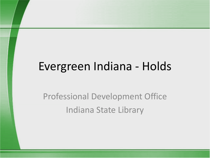#### Evergreen Indiana - Holds

#### Professional Development Office Indiana State Library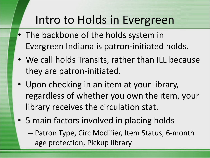#### Intro to Holds in Evergreen

- The backbone of the holds system in Evergreen Indiana is patron-initiated holds.
- We call holds Transits, rather than ILL because they are patron-initiated.
- Upon checking in an item at your library, regardless of whether you own the item, your library receives the circulation stat.
- 5 main factors involved in placing holds
	- Patron Type, Circ Modifier, Item Status, 6-month age protection, Pickup library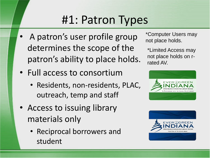# #1: Patron Types

- A patron's user profile group determines the scope of the patron's ability to place holds.
- Full access to consortium
	- Residents, non-residents, PLAC, outreach, temp and staff
- Access to issuing library materials only
	- Reciprocal borrowers and student

\*Computer Users may not place holds.

\*Limited Access may not place holds on rrated AV.



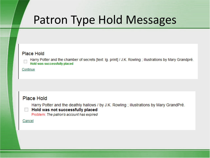#### Patron Type Hold Messages

#### Place Hold

Harry Potter and the chamber of secrets [text: lg. print] / J.K. Rowling ; illustrations by Mary Grandpré. Hold was successfully placed

#### Continue

#### Place Hold

Harry Potter and the deathly hallows / by J.K. Rowling; illustrations by Mary GrandPré.

#### Hold was not successfully placed

Problem: The patron's account has expired

Cancel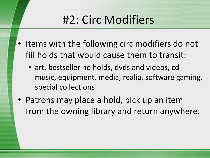# #2: Circ Modifiers

- Items with the following circ modifiers do not fill holds that would cause them to transit:
	- art, bestseller no holds, dvds and videos, cdmusic, equipment, media, realia, software gaming, special collections
- Patrons may place a hold, pick up an item from the owning library and return anywhere.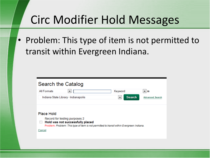# Circ Modifier Hold Messages

• Problem: This type of item is not permitted to transit within Evergreen Indiana.

| Search the Catalog                                                                                                                                                                  |               |                            |
|-------------------------------------------------------------------------------------------------------------------------------------------------------------------------------------|---------------|----------------------------|
| All Formats<br>▼                                                                                                                                                                    | Keyword       | $\overline{\mathbf{r}}$ in |
| Indiana State Library - Indianapolis                                                                                                                                                | <b>Search</b> | <b>Advanced Search</b>     |
| <b>Place Hold</b><br>Record for testing purposes 2<br>Hold was not successfully placed<br>Problem: Problem: This type of item is not permitted to transit within Evergreen Indiana. |               |                            |
| Cancel                                                                                                                                                                              |               |                            |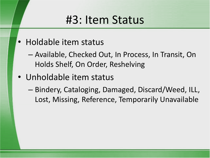#### #3: Item Status

- Holdable item status
	- Available, Checked Out, In Process, In Transit, On Holds Shelf, On Order, Reshelving
- Unholdable item status
	- Bindery, Cataloging, Damaged, Discard/Weed, ILL, Lost, Missing, Reference, Temporarily Unavailable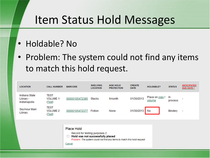#### Item Status Hold Messages

- Holdable? No
- Problem: The system could not find any items to match this hold request.

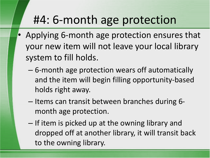## #4: 6-month age protection

- Applying 6-month age protection ensures that your new item will not leave your local library system to fill holds.
	- 6-month age protection wears off automatically and the item will begin filling opportunity-based holds right away.
	- Items can transit between branches during 6 month age protection.
	- If item is picked up at the owning library and dropped off at another library, it will transit back to the owning library.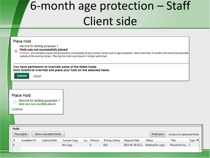# 6-month age protection – Staff Client side

#### **Place Hold**

Record for testing purposes 1

#### Hold was not successfully placed  $\overline{J}$

Problem: All available copies are temporarily unavailable at your pickup library due to age protection. Items less than 6 months old cannot be transited outside of the owning library. Placing this hold could result in longer wait times.

You have permission to override some of the failed holds. Click Submit to override and place your hold on the selected items.

**Submit** 

#### **Place Hold**



Cancel

Continue

| <b>Holds</b> |              |                      |              |            |                       |              |                                  |                            |        |
|--------------|--------------|----------------------|--------------|------------|-----------------------|--------------|----------------------------------|----------------------------|--------|
|              | Place Hold   | Show Cancelled Holds |              |            |                       |              | Detail View                      | Actions for Selected Holds |        |
|              | Available On | Capture Date         | Current Copy | La Notices | <b>Pickup Library</b> | Request Date | <b>Status</b>                    | Title                      | Type 囤 |
|              |              |                      | No Copy      |            | ISLI                  |              | 2013-01-30 11:5 Waiting for copy | Record for te V            |        |
|              |              |                      |              |            |                       |              |                                  |                            |        |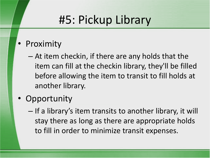### #5: Pickup Library

- Proximity
	- At item checkin, if there are any holds that the item can fill at the checkin library, they'll be filled before allowing the item to transit to fill holds at another library.
- Opportunity
	- If a library's item transits to another library, it will stay there as long as there are appropriate holds to fill in order to minimize transit expenses.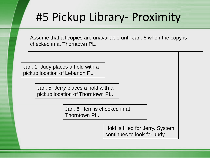#### #5 Pickup Library- Proximity

Assume that all copies are unavailable until Jan. 6 when the copy is checked in at Thorntown PL.

Jan. 1: Judy places a hold with a pickup location of Lebanon PL.

> Jan. 5: Jerry places a hold with a pickup location of Thorntown PL.

> > Jan. 6: Item is checked in at Thorntown PL.

> > > Hold is filled for Jerry. System continues to look for Judy.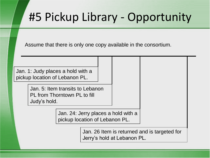### #5 Pickup Library - Opportunity

Assume that there is only one copy available in the consortium.

Jan. 1: Judy places a hold with a pickup location of Lebanon PL.

> Jan. 5: Item transits to Lebanon PL from Thorntown PL to fill Judy's hold.

> > Jan. 24: Jerry places a hold with a pickup location of Lebanon PL.

> > > Jan. 26 Item is returned and is targeted for Jerry's hold at Lebanon PL.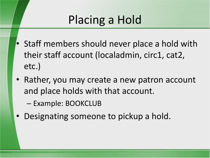# Placing a Hold

- Staff members should never place a hold with their staff account (localadmin, circ1, cat2, etc.)
- Rather, you may create a new patron account and place holds with that account.
	- Example: BOOKCLUB
- Designating someone to pickup a hold.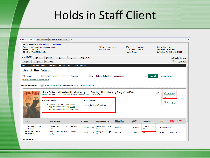#### Holds in Staff Client

|                                                                               | 1 Bib Record: 5466293 2 Patron Search 3 Patron: BORGER, SHAUNA +                                                                                                                    |                        |                                                   |                                                                      |                           |               |                                               |                                                              |
|-------------------------------------------------------------------------------|-------------------------------------------------------------------------------------------------------------------------------------------------------------------------------------|------------------------|---------------------------------------------------|----------------------------------------------------------------------|---------------------------|---------------|-----------------------------------------------|--------------------------------------------------------------|
| <b>Title:</b><br>Author:<br>Rowling, J.K.<br>Bib Call #: PZ7.R79835Hak 2007b  | Record Summary ( Add Volumes ) ( View MARC )<br>Harry Potter and the deathly hallows                                                                                                |                        | Edition: Large print ed.<br><b>Pub Date: 2007</b> | <b>TCN:</b><br>Database ID:<br><b>Record Owner:</b>                  | 5466293<br>5466293        |               | <b>Created By:</b><br>Last Edited By: hm-cat1 | admin<br>Last Edited On: 2011-12-12 5:4 PM                   |
| Record 5 of 56<br>Start<br>Go Back<br>Reload                                  | <b>Previous</b><br>End<br>Next<br>Go Forward                                                                                                                                        | Search Results         |                                                   |                                                                      |                           |               |                                               | <b>Actions for this Record</b><br>Debug<br><b>Print Page</b> |
| <b>INSPIRE</b><br><b>Indiana State Library</b><br>Search the Catalog          | Find a Library Near Me<br>Help                                                                                                                                                      | <b>About Evergreen</b> |                                                   |                                                                      |                           |               |                                               |                                                              |
| All Formats<br>$\vert \cdot \vert$<br>[ Click to Refine Your Original Search] | title:harry potter<br>Keyword                                                                                                                                                       | $\vert \cdot \vert$ in | Indiana State Library - Indianapolis              |                                                                      | $\blacksquare$            | <b>Search</b> | <b>Advanced Search</b>                        |                                                              |
|                                                                               |                                                                                                                                                                                     |                        |                                                   |                                                                      |                           |               |                                               |                                                              |
| <b>Recent searches</b>                                                        | ◀ Search Results                                                                                                                                                                    |                        |                                                   |                                                                      |                           |               |                                               |                                                              |
|                                                                               | Harry Potter and the deathly hallows / by J.K. Rowling; illustrations by Mary GrandPré.<br>Rowling, J. K. (Author). GrandPré, Mary, ill. (Added Author). Rowling, J. K. (Credited). |                        |                                                   |                                                                      |                           | $\circ$       |                                               | Place Hold                                                   |
|                                                                               | <b>Available copies</b>                                                                                                                                                             | <b>Current holds</b>   |                                                   |                                                                      |                           |               |                                               | <b>BET AND TO THY ITS</b>                                    |
|                                                                               | . 6 copies at Evergreen Indiana. (Show)<br>. 1 copy at Indiana State Library. (Show)<br>. 1 copy at Indiana State Library - Indianapolis.                                           |                        | 0 current holds with 8 total copies.              |                                                                      |                           |               |                                               | <b>Print</b> / Email                                         |
|                                                                               |                                                                                                                                                                                     |                        |                                                   |                                                                      |                           |               |                                               |                                                              |
| <b>LOCATION</b>                                                               | <b>CALL NUMBER</b>                                                                                                                                                                  | <b>BARCODE</b>         | <b>SHELVING LOCATION</b>                          | <b>CREATE</b><br><b>AGE HOLD</b><br><b>DATE</b><br><b>PROTECTION</b> | HOLDABLE?                 |               | <b>STATUS</b>                                 | ANTICIPATED DUE<br>DATE *                                    |
| Indiana State Library -<br>Indianapolis                                       | [16699] ISLM PZ7 .R79835 HAK 2007B<br>(Text)                                                                                                                                        | 00000105054290         | <b>Talking Books Large</b><br><b>Type</b>         | 08/16/2007<br>6 <sub>month</sub>                                     | Place on copy /<br>volume |               | Reshelving                                    |                                                              |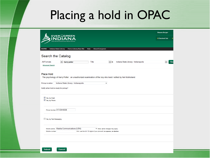# Placing a hold in OPAC

|                                                                                                                                                            | <b>Shauna Borger</b> |           |
|------------------------------------------------------------------------------------------------------------------------------------------------------------|----------------------|-----------|
| <b>EVEROGREEN</b><br><b>EN SOURCE INTEGRATED LIBRARY</b>                                                                                                   | 0 Checked Out        | O         |
|                                                                                                                                                            |                      |           |
| <b>Indiana State Library</b><br>Find a Library Near Me<br><b>About Evergreen</b><br><b>INSPIRE</b><br>Help                                                 |                      |           |
| Search the Catalog                                                                                                                                         |                      |           |
| $\blacktriangledown$<br>$\overline{ }$ in<br><b>All Formats</b><br>Indiana State Library - Indianapolis<br>harry potter<br>Title<br><b>Advanced Search</b> |                      | <b>Se</b> |
| Place Hold<br>The psychology of Harry Potter : an unauthorized examination of the boy who lived / edited by Neil Mulholland.                               |                      |           |
| Indiana State Library - Indianapolis<br>Pickup location:<br>۰                                                                                              |                      |           |
| Notify when hold is ready for pickup?                                                                                                                      |                      |           |
| Ves, by Email<br>Yes, by Phone                                                                                                                             |                      |           |
| Phone Number: 317-234-6536                                                                                                                                 |                      |           |
| Yes, by Text Messaging                                                                                                                                     |                      |           |
| Mobile carrier: Alaska Communications (USA)<br>V Note: carrier charges may apply                                                                           |                      |           |
| Mobile number:<br>Hint: use the full 10 digits of your phone #, no spaces, no dashes                                                                       |                      |           |
|                                                                                                                                                            |                      |           |
|                                                                                                                                                            |                      |           |

Cancel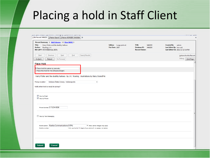#### Placing a hold in Staff Client

| Record Summary ( Add Volumes ) ( View MARC )<br><b>Title:</b><br>Harry Potter and the deathly hallows<br>Author: Rowling, J. K.<br>Bib Call #: PZ7.R79835Hak 2007b                      | Edition: Large print ed.<br><b>Pub Date: 2007</b> | TCN:<br>5466293<br>Database ID:<br>5466293<br><b>Record Owner:</b> | Created By: admin<br>Last Edited By: hm-cat1<br>Last Edited On: 2011-12-12 5:4 PM |
|-----------------------------------------------------------------------------------------------------------------------------------------------------------------------------------------|---------------------------------------------------|--------------------------------------------------------------------|-----------------------------------------------------------------------------------|
| End<br>Search Results<br>Start<br>Previous<br>$N$ ext<br>Go Back<br>Go Forward<br>Reload                                                                                                |                                                   |                                                                    | <b>Actions for this Record</b><br>Debug<br>Print Page                             |
| Place Hold<br>P Place hold for patron by barcode:<br>Place this hold for me (Shauna Borger)<br>Harry Potter and the deathly hallows / by J.K. Rowling ; illustrations by Mary GrandPré. |                                                   |                                                                    |                                                                                   |
| Indiana State Library - Indianapolis<br>Pickup location:<br>Notify when hold is ready for pickup?<br>Yes, by Email                                                                      | $\blacktriangledown$                              |                                                                    |                                                                                   |
| Yes, by Phone<br>Phone Number: 317-234-6536                                                                                                                                             |                                                   |                                                                    |                                                                                   |
| Yes, by Text Messaging<br>Mobile carrier: Alaska Communications (USA)<br>Mobile number:<br>Hint: use the full 10 digits of your phone #, no spaces, no dashes                           | ▼ Note: carrier charges may apply                 |                                                                    |                                                                                   |
|                                                                                                                                                                                         |                                                   |                                                                    |                                                                                   |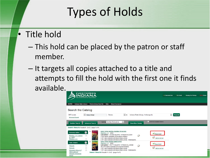# Types of Holds

- Title hold
	- This hold can be placed by the patron or staff member.
	- It targets all copies attached to a title and attempts to fill the hold with the first one it finds available.

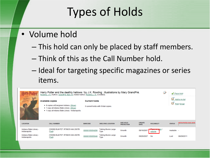# Types of Holds

- Volume hold
	- This hold can only be placed by staff members.
	- Think of this as the Call Number hold.
	- Ideal for targeting specific magazines or series items.

|                                         | Harry Potter and the deathly hallows / by J.K. Rowling; illustrations by Mary GrandPré.<br>Rowling, J. K. (Author). GrandPré, Mary, ill. (Added Author). Rowling, J. K. (Credited). |                      |                                           |                                      |                              | N                                                         |               | Place Hold                                     |
|-----------------------------------------|-------------------------------------------------------------------------------------------------------------------------------------------------------------------------------------|----------------------|-------------------------------------------|--------------------------------------|------------------------------|-----------------------------------------------------------|---------------|------------------------------------------------|
| <b>DEATHLY</b>                          | <b>Available copies</b><br>• 8 copies at Evergreen Indiana. (Show)<br>• 1 copy at Indiana State Library. (Show)<br>. 1 copy at Indiana State Library - Indianapolis.                | <b>Current holds</b> | 0 current holds with 9 total copies.      |                                      |                              |                                                           |               | $\mathbf{a}^*$ Add to my list<br>Print / Email |
| <b>LOCATION</b>                         | <b>CALL NUMBER</b>                                                                                                                                                                  | <b>BARCODE</b>       | <b>SHELVING LOCATION</b>                  | <b>AGE HOLD</b><br><b>PROTECTION</b> | <b>CREATE</b><br><b>DATE</b> | HOLDABLE?                                                 | <b>STATUS</b> | <b>ANTICIPATED DUE DATE</b>                    |
| Indiana State Library -<br>Indianapolis | [16699] ISLM PZ7 .R79835 HAK 2007B<br>(Text)                                                                                                                                        | 00000105054290       | <b>Talking Books Large</b><br>Type        | 6 <sub>month</sub>                   | 08/16/2007                   | Disas se se ny<br><b>STATISTICS</b> IN THE 2005<br>volume | Available -   |                                                |
| Indiana State Library -<br>Indianapolis | [16699] ISLM PZ7 .R79835 HAK 2007B<br>(Text)                                                                                                                                        | 00000105055040       | <b>Talking Books Large</b><br><b>Type</b> | 6 <sub>month</sub>                   | 09/26/2007                   | No                                                        | Lost          | 08/29/2011                                     |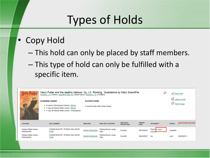## Types of Holds

- Copy Hold
	- This hold can only be placed by staff members.
	- This type of hold can only be fulfilled with a specific item.

|                                         | Harry Potter and the deathly hallows / by J.K. Rowling ; illustrations by Mary GrandPré.<br>Rowling, J. K. (Author). GrandPré, Mary, ill. (Added Author). Rowling, J. K. (Credited). |                                                                                |                                           |                                      |                              |                          |               | Place Hold                  |
|-----------------------------------------|--------------------------------------------------------------------------------------------------------------------------------------------------------------------------------------|--------------------------------------------------------------------------------|-------------------------------------------|--------------------------------------|------------------------------|--------------------------|---------------|-----------------------------|
| <b>DEATHLY</b>                          | <b>Available copies</b><br>• 8 copies at Evergreen Indiana. (Show)<br>. 1 copy at Indiana State Library. (Show)<br>. 1 copy at Indiana State Library - Indianapolis.                 | Add to my list<br><b>Current holds</b><br>0 current holds with 9 total copies. |                                           |                                      |                              |                          | Print / Email |                             |
| <b>LOCATION</b>                         | <b>CALL NUMBER</b>                                                                                                                                                                   | <b>BARCODE</b>                                                                 | <b>SHELVING LOCATION</b>                  | <b>AGE HOLD</b><br><b>PROTECTION</b> | <b>CREATE</b><br><b>DATE</b> | <b>HOLDABLE?</b>         | <b>STATUS</b> | <b>ANTICIPATED DUE DATE</b> |
| Indiana State Library -<br>Indianapolis | [16699] ISLM PZ7 .R79835 HAK 2007B<br>(Text)                                                                                                                                         | 00000105054290                                                                 | <b>Talking Books Large</b><br><b>Type</b> | 6 <sub>month</sub>                   | 08/16/2007                   | Place on copy /<br>volum | Available -   |                             |
| Indiana State Library -<br>Indianapolis | [16699] ISLM PZ7 .R79835 HAK 2007B<br>(Text)                                                                                                                                         | 00000105055040                                                                 | <b>Talking Books Large</b><br><b>Type</b> | 6 <sub>month</sub>                   | 09/26/2007                   | No                       | Lost          | 08/29/2011                  |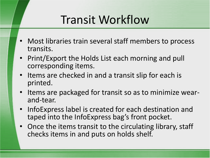### Transit Workflow

- Most libraries train several staff members to process transits.
- Print/Export the Holds List each morning and pull corresponding items.
- Items are checked in and a transit slip for each is printed.
- Items are packaged for transit so as to minimize wearand-tear.
- InfoExpress label is created for each destination and taped into the InfoExpress bag's front pocket.
- Once the items transit to the circulating library, staff checks items in and puts on holds shelf.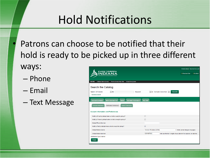# Hold Notifications

Patrons can choose to be notified that their hold is ready to be picked up in three different

ways:

- Phone
- Email
- Text Message

|                                                                                                    |                                 |                                                                    | <b>Administrator System Account</b> |  |
|----------------------------------------------------------------------------------------------------|---------------------------------|--------------------------------------------------------------------|-------------------------------------|--|
| <b>EVERQGREEN</b><br>$\overline{\mathsf{D}}$ IAN<br><b>OPEN SOURCE INTEGRATED LIBRARY SYSTEM</b>   |                                 |                                                                    | 0 Checked Out<br>1 On Hold          |  |
|                                                                                                    |                                 |                                                                    |                                     |  |
| <b>INSPIRE</b><br><b>Indiana State Library</b><br>Find a Library Near Me<br><b>About Evergreen</b> |                                 |                                                                    |                                     |  |
| Search the Catalog                                                                                 |                                 |                                                                    |                                     |  |
| $\overline{ }$ for<br>Search All Formats<br>Keyword<br><b>Advanced Search</b>                      | $\bullet$ in Example Consortium | <b>Search</b><br>$\overline{\phantom{a}}$                          |                                     |  |
| <b>Holds</b><br><b>Account Summary</b><br><b>Items Checked Out</b><br><b>Account Preferences</b>   | <b>My Lists</b>                 |                                                                    |                                     |  |
| <b>Personal Information</b><br><b>Notification Preferences</b><br><b>Search Preferences</b>        |                                 |                                                                    |                                     |  |
| <b>Account Information and Preferences</b>                                                         |                                 |                                                                    |                                     |  |
| Notify by Email by default when a hold is ready for pickup?                                        | $\Box$                          |                                                                    |                                     |  |
| Notify by Phone by default when a hold is ready for pickup?                                        |                                 |                                                                    |                                     |  |
| Default Phone Number                                                                               |                                 |                                                                    |                                     |  |
| Notify by Text by default when a hold is ready for pickup?                                         | $\overline{\mathsf{v}}$         |                                                                    |                                     |  |
| Default Mobile Carrier                                                                             | Verizon Wireless (USA)          |                                                                    | • Note: carrier charges may apply   |  |
| Default Mobile Number                                                                              | 1234567891                      | Hint: use the full 10 digits of your phone #, no spaces, no dashes |                                     |  |
| Notification Type Enabled<br><b>Save</b>                                                           |                                 |                                                                    |                                     |  |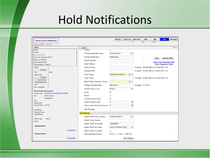#### Hold Notifications

| <b>System Account, Administrator</b>                                                |                                  | <b>Refresh</b>            | <b>Check Out</b>     | <b>Items Out</b><br>$\mathbf{0}$ | <b>Holds</b><br>0/1 | <b>Bills</b><br>\$25.00 | Edit                                       | <b>Messages</b> |
|-------------------------------------------------------------------------------------|----------------------------------|---------------------------|----------------------|----------------------------------|---------------------|-------------------------|--------------------------------------------|-----------------|
| (Maximum Bills) (Has Bills)                                                         |                                  |                           |                      |                                  |                     |                         |                                            |                 |
| <b>Status</b>                                                                       | Reload                           |                           |                      |                                  |                     |                         |                                            | Debug           |
| <b>Users</b>                                                                        | Juvenne                          | $\Box$                    |                      |                                  |                     |                         |                                            |                 |
| <b>CONS</b>                                                                         | Primary Identification Type      | <b>Drivers License</b>    | $\blacktriangledown$ |                                  |                     |                         |                                            |                 |
| <b>Internet Filtered</b>                                                            |                                  |                           |                      |                                  |                     |                         |                                            |                 |
| Account created on 3/19/12                                                          | Primary Identification           | identification            |                      |                                  |                     | Save                    |                                            | Save & Clone    |
| Expires on 3/19/15<br>Last Activity 9/6/12                                          | Parent/Guardian                  |                           |                      |                                  |                     |                         | <b>Show Only Required Fields</b>           |                 |
| Last updated on 7/18/12                                                             | <b>Email Address</b>             |                           |                      |                                  |                     |                         | <b>Show Suggested Fields</b>               |                 |
| $\mathbf{1}$<br>Holds:                                                              | Daytime Phone                    |                           |                      |                                  |                     |                         | Example: 123-456-7890 or 123-456-7890 x123 |                 |
| Available: 0<br>\$25.00<br><b>Bills:</b>                                            | <b>Evening Phone</b>             |                           |                      |                                  |                     |                         | Example: 123-456-7890 or 123-456-7890 x123 |                 |
| <b>Check Outs:</b><br>$\Omega$                                                      | Home Library                     | <b>Example Consortium</b> | $\mathbb{A}$ -       |                                  |                     |                         |                                            |                 |
| Overdue: 0<br>Long Overdue: 0                                                       | <b>Other Phone</b>               |                           |                      |                                  |                     |                         | Example: 123-456-7890 or 123-456-7890 x123 |                 |
| <b>Claimed Returned:</b><br>$\mathbf{0}$                                            | Main (Profile) Permission Group  |                           | $\mathbb{A}$ .       |                                  |                     |                         |                                            |                 |
| $\mathbf{0}$<br>Lost:<br>Non Cataloged:<br>$\mathbf{0}$                             | <b>Privilege Expiration Date</b> | 2015-03-19                |                      |                                  | Example: 1/31/1970  |                         |                                            |                 |
|                                                                                     | <b>Internet Access Level</b>     | Filtered                  | $\blacktriangledown$ |                                  |                     |                         |                                            |                 |
| <b>ID and Contact Information</b><br>Library Card: 371c685c85c213ad362da9a5ac5a9901 | Active                           | $\checkmark$              |                      |                                  |                     |                         |                                            |                 |
| <b>Drivers License</b><br>$ID_1$ :                                                  | <b>Barred</b>                    |                           |                      |                                  |                     |                         |                                            |                 |
| identification                                                                      | Is Group Lead Account            | $\checkmark$              |                      |                                  |                     |                         |                                            |                 |
| $ID2$ :<br><b>Holds Alias:</b>                                                      | <b>Claims-returned Count</b>     | $\overline{0}$            | $\div$               |                                  |                     |                         |                                            |                 |
| Date of Birth: 1/22/79                                                              | Claims Never Checked Out Count 0 |                           | $\div$               |                                  |                     |                         |                                            |                 |
| Day Phone:                                                                          | Alert Message                    |                           |                      |                                  |                     |                         |                                            |                 |
| <b>Evening Phone:</b>                                                               | <b>User Settings</b>             |                           |                      |                                  |                     |                         |                                            |                 |
| <b>Other Phone:</b>                                                                 | Default Hold Pickup Location     | Example Branch 1          | $\blacktriangledown$ |                                  |                     |                         |                                            |                 |
| <b>OPAC Login:</b><br>admin                                                         | Default Phone Number             |                           |                      |                                  |                     |                         |                                            |                 |
| <b>Email:</b>                                                                       | Default SMS/Text Number          | 1234567891                |                      |                                  |                     |                         |                                            |                 |
| <b>Mailing Address</b>                                                              | Default SMS/Text Carrier         | Verizon Wireless (USA)    | $\blacktriangledown$ |                                  |                     |                         |                                            |                 |
| (Copy/Print)                                                                        | <b>Hold is behind Circ Desk</b>  |                           |                      |                                  |                     |                         |                                            |                 |
| <b>Physical Address</b>                                                             | <b>Hold Notification Format</b>  | Phone: Email: SMS: V      |                      |                                  |                     |                         |                                            |                 |
| (Copy/Print)                                                                        |                                  |                           | <b>New Address</b>   |                                  |                     |                         |                                            |                 |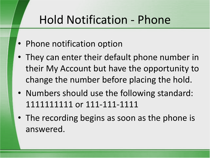# Hold Notification - Phone

- Phone notification option
- They can enter their default phone number in their My Account but have the opportunity to change the number before placing the hold.
- Numbers should use the following standard: 1111111111 or 111-111-1111
- The recording begins as soon as the phone is answered.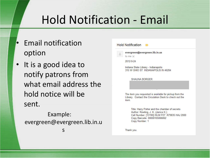# Hold Notification - Email

- Email notification option
- It is a good idea to notify patrons from what email address the hold notice will be sent.

Example: evergreen@evergreen.lib.in.u

s

|   | <b>Hold Notification</b>                                                                                                   |
|---|----------------------------------------------------------------------------------------------------------------------------|
| œ | evergreen@evergreen.lib.in.us<br>to me $\vert \mathbf{v} \vert$                                                            |
|   | 2012-9-24                                                                                                                  |
|   | Indiana State Library - Indianapolis<br>315 W OHIO ST INDIANAPOLIS IN 46204                                                |
|   | <b>SHAUNA BORGER</b>                                                                                                       |
|   |                                                                                                                            |
|   | The item you requested is available for pickup from the<br>Library. Contact the Circulation Desk to check out the<br>item. |
|   | Title: Harry Potter and the chamber of secrets                                                                             |

Author: Rowling, J. K. (Janice K.) Call Number: [13190] ISLM PZ7 .R79835 HAJ 2000 Copy Barcode: 00000105066062 Copy Number: 1

Thank you.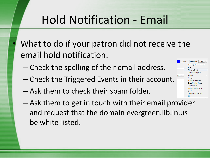# Hold Notification - Email

- What to do if your patron did not receive the email hold notification.
	- Check the spelling of their email address.
	- Check the Triggered Events in their account.
	- Ask them to check their spam folder.
	- Ask them to get in touch with their email provider and request that the domain evergreen.lib.in.us be white-listed.

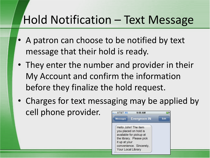### Hold Notification – Text Message

- A patron can choose to be notified by text message that their hold is ready.
- They enter the number and provider in their My Account and confirm the information before they finalize the hold request.
- Charges for text messaging may be applied by cell phone provider.**AT&T 3G**  $9:00$  AM

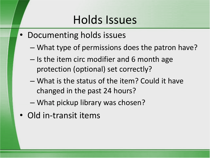#### Holds Issues

- Documenting holds issues
	- What type of permissions does the patron have?
	- Is the item circ modifier and 6 month age protection (optional) set correctly?
	- What is the status of the item? Could it have changed in the past 24 hours?
	- What pickup library was chosen?
- Old in-transit items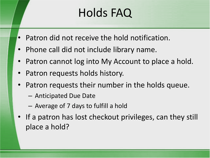# Holds FAQ

- Patron did not receive the hold notification.
- Phone call did not include library name.
- Patron cannot log into My Account to place a hold.
- Patron requests holds history.
- Patron requests their number in the holds queue.
	- Anticipated Due Date
	- Average of 7 days to fulfill a hold
- If a patron has lost checkout privileges, can they still place a hold?